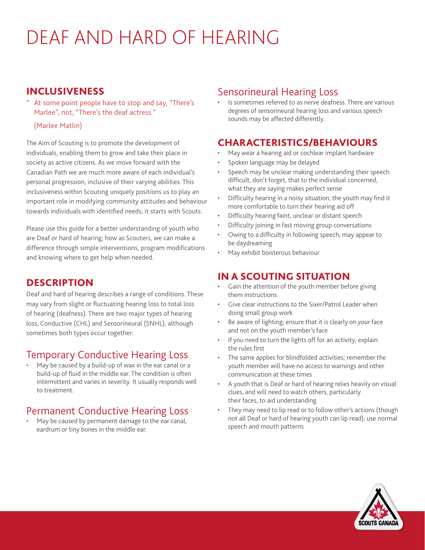# DEAF AND HARD OF HEARING

#### INCLUSIVENESS

#### At some point people have to stop and say, "There's Marlee", not, "There's the deaf actress."

#### (Marlee Matlin)

The Aim of Scouting is to promote the development of individuals, enabling them to grow and take their place in society as active citizens. As we move forward with the Canadian Path we are much more aware of each individual's personal progression, inclusive of their varying abilities. This inclusiveness within Scouting uniquely positions us to play an important role in modifying community attitudes and behaviour towards individuals with identified needs; it starts with Scouts.

Please use this guide for a better understanding of youth who are Deaf or hard of hearing; how as Scouters, we can make a difference through simple interventions, program modifications and knowing where to get help when needed.

## **DESCRIPTION**

Deaf and hard of hearing describes a range of conditions. These may vary from slight or fluctuating hearing loss to total loss of hearing (deafness). There are two major types of hearing loss, Conductive (CHL) and Sensorineural (SNHL), although sometimes both types occur together:

## Temporary Conductive Hearing Loss

May be caused by a build-up of wax in the ear canal or a build-up of fluid in the middle ear. The condition is often intermittent and varies in severity. It usually responds well to treatment.

## Permanent Conductive Hearing Loss

May be caused by permanent damage to the ear canal, eardrum or tiny bones in the middle ear.

#### Sensorineural Hearing Loss

Is sometimes referred to as nerve deafness. There are various degrees of sensorineural hearing loss and various speech sounds may be affected differently.

#### CHARACTERISTICS/BEHAVIOURS

- May wear a hearing aid or cochlear implant hardware
- Spoken language may be delayed
- Speech may be unclear making understanding their speech difficult, don't forget, that to the individual concerned, what they are saying makes perfect sense
- Difficulty hearing in a noisy situation; the youth may find it more comfortable to turn their hearing aid off
- Difficulty hearing faint, unclear or distant speech
- Difficulty joining in fast moving group conversations
- Owing to a difficulty in following speech, may appear to be daydreaming
- May exhibit boisterous behaviour

## IN A SCOUTING SITUATION

- Gain the attention of the youth member before giving them instructions
- Give clear instructions to the Sixer/Patrol Leader when doing small group work
- Be aware of lighting; ensure that it is clearly on *your* face and not on the youth member's face
- If you need to turn the lights off for an activity, explain the rules first
- The same applies for blindfolded activities; remember the youth member will have no access to warnings and other communication at these times
- A youth that is Deaf or hard of hearing relies heavily on visual clues, and will need to watch others, particularly their faces, to aid understanding
- They may need to lip read or to follow other's actions (though not all Deaf or hard of hearing youth can lip read); use normal speech and mouth patterns